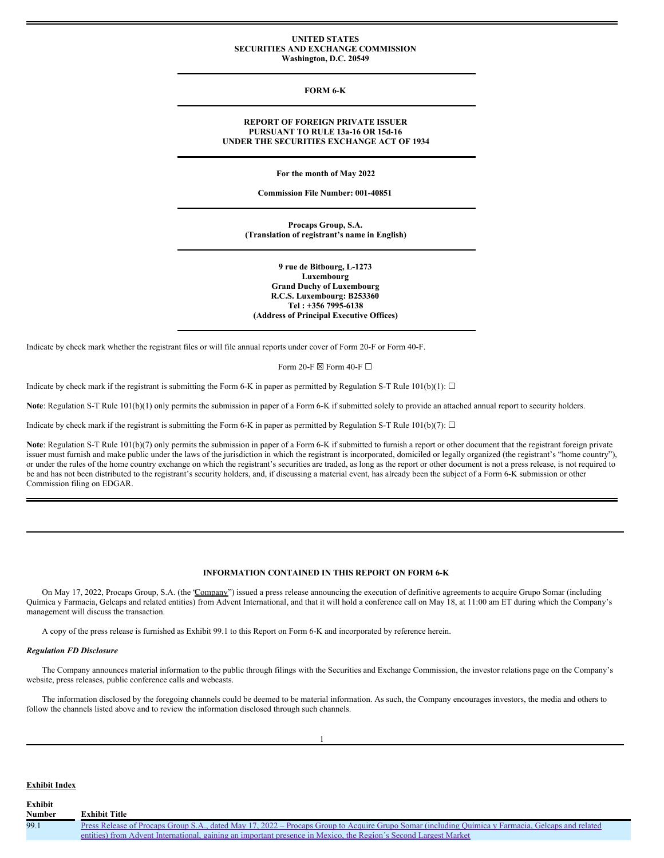### **UNITED STATES SECURITIES AND EXCHANGE COMMISSION Washington, D.C. 20549**

### **FORM 6-K**

### **REPORT OF FOREIGN PRIVATE ISSUER PURSUANT TO RULE 13a-16 OR 15d-16 UNDER THE SECURITIES EXCHANGE ACT OF 1934**

**For the month of May 2022**

**Commission File Number: 001-40851**

**Procaps Group, S.A. (Translation of registrant's name in English)**

**9 rue de Bitbourg, L-1273 Luxembourg Grand Duchy of Luxembourg R.C.S. Luxembourg: B253360 Tel : +356 7995-6138 (Address of Principal Executive Offices)**

Indicate by check mark whether the registrant files or will file annual reports under cover of Form 20-F or Form 40-F.

Form 20-F  $\boxtimes$  Form 40-F  $\Box$ 

Indicate by check mark if the registrant is submitting the Form 6-K in paper as permitted by Regulation S-T Rule 101(b)(1):  $\Box$ 

Note: Regulation S-T Rule 101(b)(1) only permits the submission in paper of a Form 6-K if submitted solely to provide an attached annual report to security holders.

Indicate by check mark if the registrant is submitting the Form 6-K in paper as permitted by Regulation S-T Rule 101(b)(7):  $\Box$ 

Note: Regulation S-T Rule 101(b)(7) only permits the submission in paper of a Form 6-K if submitted to furnish a report or other document that the registrant foreign private issuer must furnish and make public under the laws of the jurisdiction in which the registrant is incorporated, domiciled or legally organized (the registrant's "home country"), or under the rules of the home country exchange on which the registrant's securities are traded, as long as the report or other document is not a press release, is not required to be and has not been distributed to the registrant's security holders, and, if discussing a material event, has already been the subject of a Form 6-K submission or other Commission filing on EDGAR.

# **INFORMATION CONTAINED IN THIS REPORT ON FORM 6-K**

On May 17, 2022, Procaps Group, S.A. (the "Company") issued a press release announcing the execution of definitive agreements to acquire Grupo Somar (including Química y Farmacia, Gelcaps and related entities) from Advent International, and that it will hold a conference call on May 18, at 11:00 am ET during which the Company's management will discuss the transaction.

A copy of the press release is furnished as Exhibit 99.1 to this Report on Form 6-K and incorporated by reference herein.

### *Regulation FD Disclosure*

The Company announces material information to the public through filings with the Securities and Exchange Commission, the investor relations page on the Company's website, press releases, public conference calls and webcasts.

The information disclosed by the foregoing channels could be deemed to be material information. As such, the Company encourages investors, the media and others to follow the channels listed above and to review the information disclosed through such channels.

### **Exhibit Index**

**Exhibit**

| <b>Number</b> | <b>Exhibit Title</b>                                                                                                                              |
|---------------|---------------------------------------------------------------------------------------------------------------------------------------------------|
| 99.1          | Press Release of Procaps Group S.A., dated May 17, 2022 – Procaps Group to Acquire Grupo Somar (including Ouímica y Farmacia, Gelcaps and related |
|               | entities) from Advent International, gaining an important presence in Mexico, the Region's Second Largest Market                                  |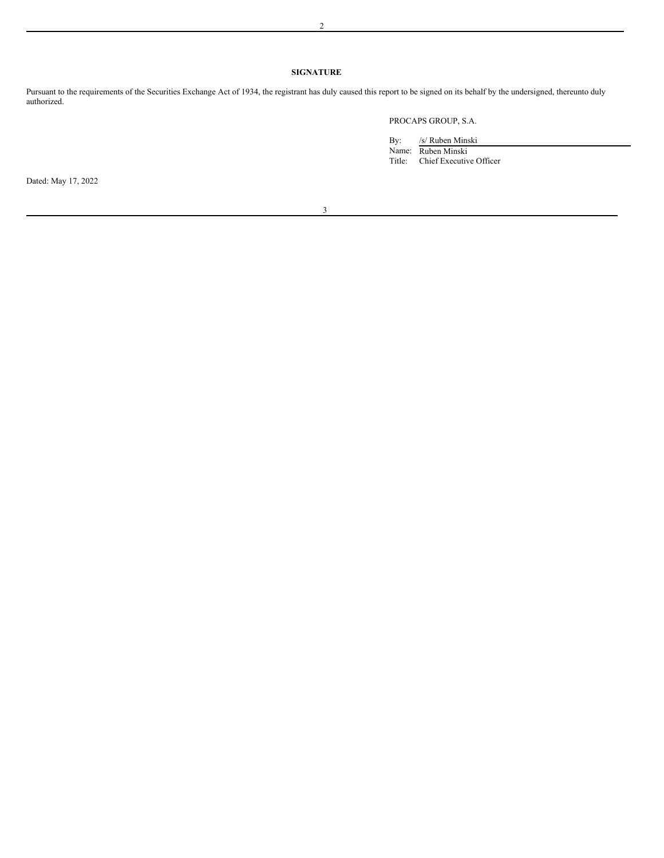# **SIGNATURE**

Pursuant to the requirements of the Securities Exchange Act of 1934, the registrant has duly caused this report to be signed on its behalf by the undersigned, thereunto duly authorized.

# PROCAPS GROUP, S.A.

| By:               | /s/ Ruben Minski    |
|-------------------|---------------------|
| Name <sup>.</sup> | <b>Ruben Mineli</b> |

Name: Ruben Minski Title: Chief Executive Officer Dated: May 17, 2022

3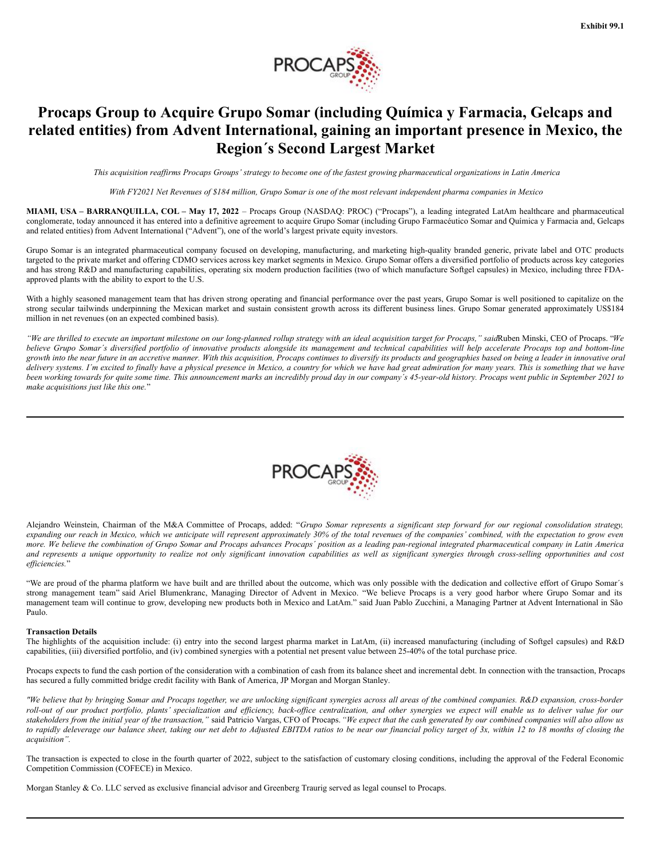

# **Procaps Group to Acquire Grupo Somar (including Química y Farmacia, Gelcaps and related entities) from Advent International, gaining an important presence in Mexico, the Region´s Second Largest Market**

This acquisition reaffirms Procaps Groups' strategy to become one of the fastest growing pharmaceutical organizations in Latin America

With FY2021 Net Revenues of \$184 million, Grupo Somar is one of the most relevant independent pharma companies in Mexico

**MIAMI, USA – BARRANQUILLA, COL – May 17, 2022** – Procaps Group (NASDAQ: PROC) ("Procaps"), a leading integrated LatAm healthcare and pharmaceutical conglomerate, today announced it has entered into a definitive agreement to acquire Grupo Somar (including Grupo Farmacéutico Somar and Química y Farmacia and, Gelcaps and related entities) from Advent International ("Advent"), one of the world's largest private equity investors.

Grupo Somar is an integrated pharmaceutical company focused on developing, manufacturing, and marketing high-quality branded generic, private label and OTC products targeted to the private market and offering CDMO services across key market segments in Mexico. Grupo Somar offers a diversified portfolio of products across key categories and has strong R&D and manufacturing capabilities, operating six modern production facilities (two of which manufacture Softgel capsules) in Mexico, including three FDAapproved plants with the ability to export to the U.S.

With a highly seasoned management team that has driven strong operating and financial performance over the past years, Grupo Somar is well positioned to capitalize on the strong secular tailwinds underpinning the Mexican market and sustain consistent growth across its different business lines. Grupo Somar generated approximately US\$184 million in net revenues (on an expected combined basis).

"We are thrilled to execute an important milestone on our long-planned rollup strategy with an ideal acquisition target for Procaps," saidRuben Minski, CEO of Procaps. "We believe Grupo Somar's diversified portfolio of innovative products alongside its management and technical capabilities will help accelerate Procaps top and bottom-line growth into the near future in an accretive manner. With this acquisition, Procaps continues to diversify its products and geographies based on being a leader in innovative oral delivery systems. I'm excited to finally have a physical presence in Mexico, a country for which we have had great admiration for many years. This is something that we have been working towards for quite some time. This announcement marks an incredibly proud day in our company's 45-year-old history. Procaps went public in September 2021 to *make acquisitions just like this one.*"



Alejandro Weinstein, Chairman of the M&A Committee of Procaps, added: "Grupo Somar represents a significant step forward for our regional consolidation strategy, expanding our reach in Mexico, which we anticipate will represent approximately 30% of the total revenues of the companies' combined, with the expectation to grow even more. We believe the combination of Grupo Somar and Procaps advances Procaps' position as a leading pan-regional integrated pharmaceutical company in Latin America and represents a unique opportunity to realize not only significant innovation capabilities as well as significant synergies through cross-selling opportunities and cost *ef iciencies.*"

"We are proud of the pharma platform we have built and are thrilled about the outcome, which was only possible with the dedication and collective effort of Grupo Somar's strong management team" said Ariel Blumenkranc, Managing Director of Advent in Mexico. "We believe Procaps is a very good harbor where Grupo Somar and its management team will continue to grow, developing new products both in Mexico and LatAm." said Juan Pablo Zucchini, a Managing Partner at Advent International in São Paulo.

## **Transaction Details**

The highlights of the acquisition include: (i) entry into the second largest pharma market in LatAm, (ii) increased manufacturing (including of Softgel capsules) and R&D capabilities, (iii) diversified portfolio, and (iv) combined synergies with a potential net present value between 25-40% of the total purchase price.

Procaps expects to fund the cash portion of the consideration with a combination of cash from its balance sheet and incremental debt. In connection with the transaction, Procaps has secured a fully committed bridge credit facility with Bank of America, JP Morgan and Morgan Stanley.

"We believe that by bringing Somar and Procaps together, we are unlocking significant synergies across all areas of the combined companies. R&D expansion, cross-border roll-out of our product portfolio, plants' specialization and efficiency, back-office centralization, and other synergies we expect will enable us to deliver value for our stakeholders from the initial year of the transaction," said Patricio Vargas, CFO of Procaps. "We expect that the cash generated by our combined companies will also allow us to rapidly deleverage our balance sheet, taking our net debt to Adjusted EBITDA ratios to be near our financial policy target of 3x, within 12 to 18 months of closing the *acquisition".*

The transaction is expected to close in the fourth quarter of 2022, subject to the satisfaction of customary closing conditions, including the approval of the Federal Economic Competition Commission (COFECE) in Mexico.

Morgan Stanley & Co. LLC served as exclusive financial advisor and Greenberg Traurig served as legal counsel to Procaps.